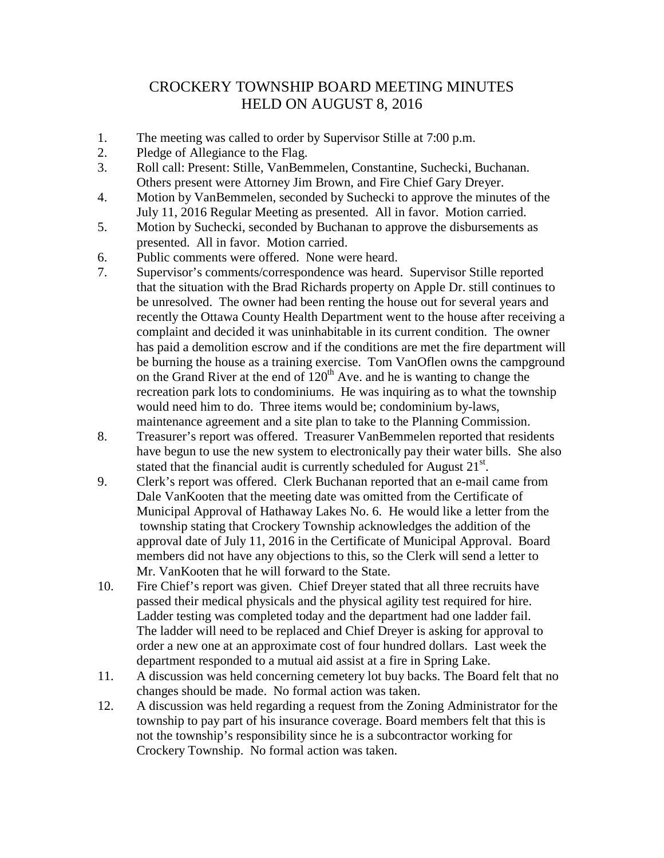## CROCKERY TOWNSHIP BOARD MEETING MINUTES HELD ON AUGUST 8, 2016

- 1. The meeting was called to order by Supervisor Stille at 7:00 p.m.
- 2. Pledge of Allegiance to the Flag.
- 3. Roll call: Present: Stille, VanBemmelen, Constantine, Suchecki, Buchanan. Others present were Attorney Jim Brown, and Fire Chief Gary Dreyer.
- 4. Motion by VanBemmelen, seconded by Suchecki to approve the minutes of the July 11, 2016 Regular Meeting as presented. All in favor. Motion carried.
- 5. Motion by Suchecki, seconded by Buchanan to approve the disbursements as presented. All in favor. Motion carried.
- 6. Public comments were offered. None were heard.
- 7. Supervisor's comments/correspondence was heard. Supervisor Stille reported that the situation with the Brad Richards property on Apple Dr. still continues to be unresolved. The owner had been renting the house out for several years and recently the Ottawa County Health Department went to the house after receiving a complaint and decided it was uninhabitable in its current condition. The owner has paid a demolition escrow and if the conditions are met the fire department will be burning the house as a training exercise. Tom VanOflen owns the campground on the Grand River at the end of  $120<sup>th</sup>$  Ave. and he is wanting to change the recreation park lots to condominiums. He was inquiring as to what the township would need him to do. Three items would be; condominium by-laws, maintenance agreement and a site plan to take to the Planning Commission.
- 8. Treasurer's report was offered. Treasurer VanBemmelen reported that residents have begun to use the new system to electronically pay their water bills. She also stated that the financial audit is currently scheduled for August  $21^{st}$ .
- 9. Clerk's report was offered. Clerk Buchanan reported that an e-mail came from Dale VanKooten that the meeting date was omitted from the Certificate of Municipal Approval of Hathaway Lakes No. 6. He would like a letter from the township stating that Crockery Township acknowledges the addition of the approval date of July 11, 2016 in the Certificate of Municipal Approval. Board members did not have any objections to this, so the Clerk will send a letter to Mr. VanKooten that he will forward to the State.
- 10. Fire Chief's report was given. Chief Dreyer stated that all three recruits have passed their medical physicals and the physical agility test required for hire. Ladder testing was completed today and the department had one ladder fail. The ladder will need to be replaced and Chief Dreyer is asking for approval to order a new one at an approximate cost of four hundred dollars. Last week the department responded to a mutual aid assist at a fire in Spring Lake.
- 11. A discussion was held concerning cemetery lot buy backs. The Board felt that no changes should be made. No formal action was taken.
- 12. A discussion was held regarding a request from the Zoning Administrator for the township to pay part of his insurance coverage. Board members felt that this is not the township's responsibility since he is a subcontractor working for Crockery Township. No formal action was taken.